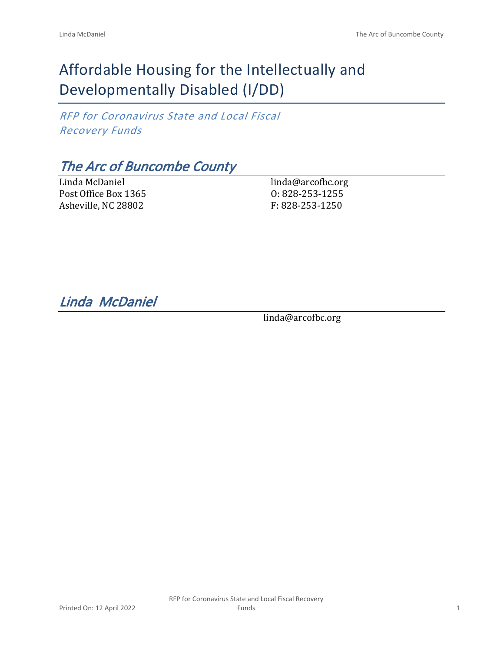# Affordable Housing for the Intellectually and Developmentally Disabled (I/DD)

*RFP for Coronavirus State and Local Fiscal Recovery Funds*

# *The Arc of Buncombe County*

Linda McDaniel Post Office Box 1365 Asheville, NC 28802

linda@arcofbc.org O: 828-253-1255 F: 828-253-1250

*Linda McDaniel* 

linda@arcofbc.org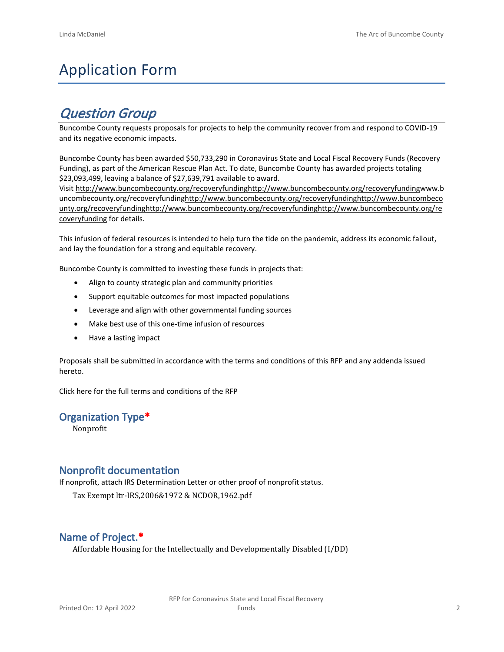# Application Form

## *Question Group*

Buncombe County requests proposals for projects to help the community recover from and respond to COVID-19 and its negative economic impacts.

Buncombe County has been awarded \$50,733,290 in Coronavirus State and Local Fiscal Recovery Funds (Recovery Funding), as part of the American Rescue Plan Act. To date, Buncombe County has awarded projects totaling \$23,093,499, leaving a balance of \$27,639,791 available to award.

Visit [http://www.buncombecounty.org/recoveryfundinghttp://www.buncombecounty.org/recoveryfundingwww.b](http://www.buncombecounty.org/recoveryfunding) [uncombecounty.org/recoveryfundinghttp://www.buncombecounty.org/recoveryfundinghttp://www.buncombeco](http://www.buncombecounty.org/recoveryfunding) [unty.org/recoveryfundinghttp://www.buncombecounty.org/recoveryfundinghttp://www.buncombecounty.org/re](http://www.buncombecounty.org/recoveryfunding) [coveryfunding](http://www.buncombecounty.org/recoveryfunding) for details.

This infusion of federal resources is intended to help turn the tide on the pandemic, address its economic fallout, and lay the foundation for a strong and equitable recovery.

Buncombe County is committed to investing these funds in projects that:

- Align to county strategic plan and community priorities
- Support equitable outcomes for most impacted populations
- Leverage and align with other governmental funding sources
- Make best use of this one-time infusion of resources
- Have a lasting impact

Proposals shall be submitted in accordance with the terms and conditions of this RFP and any addenda issued hereto.

Click [here](https://www.buncombecounty.org/common/purchasing/Buncombe%20Recovery%20Funding%20RFP%202022.pdf) for the full terms and conditions of the RFP

#### **Organization Type\***

Nonprofit

### **Nonprofit documentation**

If nonprofit, attach IRS Determination Letter or other proof of nonprofit status.

Tax Exempt ltr-IRS,2006&1972 & NCDOR,1962.pdf

## **Name of Project.\***

Affordable Housing for the Intellectually and Developmentally Disabled (I/DD)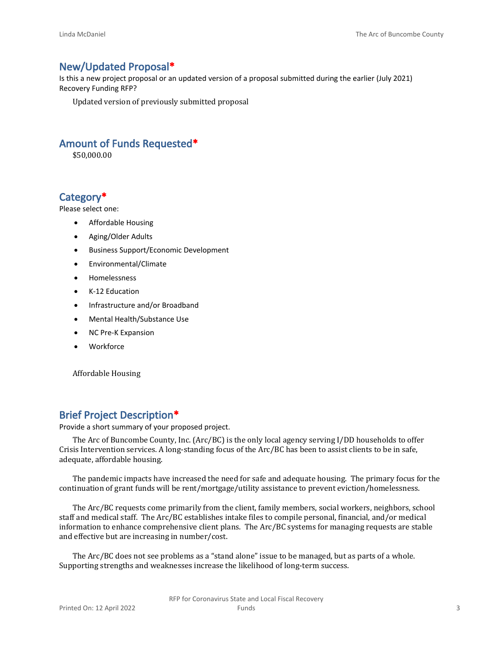## **New/Updated Proposal\***

Is this a new project proposal or an updated version of a proposal submitted during the earlier (July 2021) Recovery Funding RFP?

Updated version of previously submitted proposal

## **Amount of Funds Requested\***

\$50,000.00

## **Category\***

Please select one:

- Affordable Housing
- Aging/Older Adults
- Business Support/Economic Development
- Environmental/Climate
- Homelessness
- K-12 Education
- Infrastructure and/or Broadband
- Mental Health/Substance Use
- NC Pre-K Expansion
- Workforce

Affordable Housing

## **Brief Project Description\***

Provide a short summary of your proposed project.

The Arc of Buncombe County, Inc. (Arc/BC) is the only local agency serving I/DD households to offer Crisis Intervention services. A long-standing focus of the Arc/BC has been to assist clients to be in safe, adequate, affordable housing.

The pandemic impacts have increased the need for safe and adequate housing. The primary focus for the continuation of grant funds will be rent/mortgage/utility assistance to prevent eviction/homelessness.

The Arc/BC requests come primarily from the client, family members, social workers, neighbors, school staff and medical staff. The Arc/BC establishes intake files to compile personal, financial, and/or medical information to enhance comprehensive client plans. The Arc/BC systems for managing requests are stable and effective but are increasing in number/cost.

The Arc/BC does not see problems as a "stand alone" issue to be managed, but as parts of a whole. Supporting strengths and weaknesses increase the likelihood of long-term success.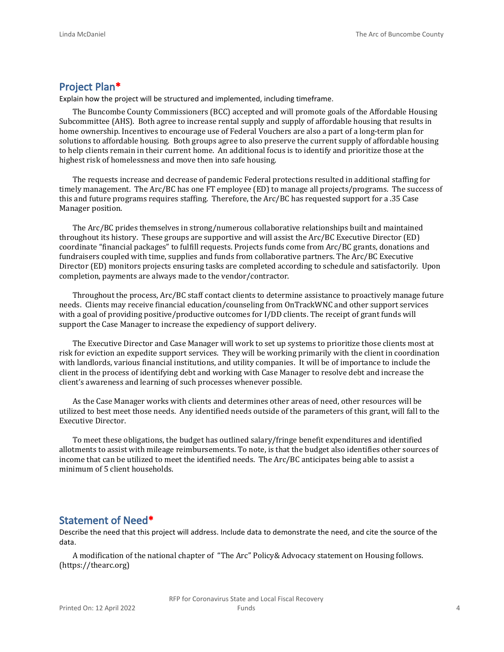## **Project Plan\***

Explain how the project will be structured and implemented, including timeframe.

The Buncombe County Commissioners (BCC) accepted and will promote goals of the Affordable Housing Subcommittee (AHS). Both agree to increase rental supply and supply of affordable housing that results in home ownership. Incentives to encourage use of Federal Vouchers are also a part of a long-term plan for solutions to affordable housing. Both groups agree to also preserve the current supply of affordable housing to help clients remain in their current home. An additional focus is to identify and prioritize those at the highest risk of homelessness and move then into safe housing.

The requests increase and decrease of pandemic Federal protections resulted in additional staffing for timely management. The Arc/BC has one FT employee (ED) to manage all projects/programs. The success of this and future programs requires staffing. Therefore, the Arc/BC has requested support for a .35 Case Manager position.

The Arc/BC prides themselves in strong/numerous collaborative relationships built and maintained throughout its history. These groups are supportive and will assist the Arc/BC Executive Director (ED) coordinate "financial packages" to fulfill requests. Projects funds come from Arc/BC grants, donations and fundraisers coupled with time, supplies and funds from collaborative partners. The Arc/BC Executive Director (ED) monitors projects ensuring tasks are completed according to schedule and satisfactorily. Upon completion, payments are always made to the vendor/contractor.

Throughout the process, Arc/BC staff contact clients to determine assistance to proactively manage future needs. Clients may receive financial education/counseling from OnTrackWNC and other support services with a goal of providing positive/productive outcomes for I/DD clients. The receipt of grant funds will support the Case Manager to increase the expediency of support delivery.

The Executive Director and Case Manager will work to set up systems to prioritize those clients most at risk for eviction an expedite support services. They will be working primarily with the client in coordination with landlords, various financial institutions, and utility companies. It will be of importance to include the client in the process of identifying debt and working with Case Manager to resolve debt and increase the client's awareness and learning of such processes whenever possible.

As the Case Manager works with clients and determines other areas of need, other resources will be utilized to best meet those needs. Any identified needs outside of the parameters of this grant, will fall to the Executive Director.

To meet these obligations, the budget has outlined salary/fringe benefit expenditures and identified allotments to assist with mileage reimbursements. To note, is that the budget also identifies other sources of income that can be utilized to meet the identified needs. The Arc/BC anticipates being able to assist a minimum of 5 client households.

#### **Statement of Need\***

Describe the need that this project will address. Include data to demonstrate the need, and cite the source of the data.

A modification of the national chapter of "The Arc" Policy& Advocacy statement on Housing follows. (https://thearc.org)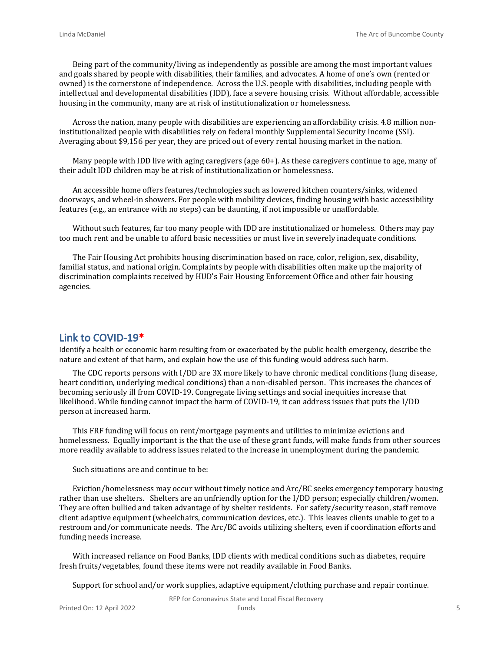Being part of the community/living as independently as possible are among the most important values and goals shared by people with disabilities, their families, and advocates. A home of one's own (rented or owned) is the cornerstone of independence. Across the U.S. people with disabilities, including people with intellectual and developmental disabilities (IDD), face a severe housing crisis. Without affordable, accessible housing in the community, many are at risk of institutionalization or homelessness.

Across the nation, many people with disabilities are experiencing an affordability crisis. 4.8 million noninstitutionalized people with disabilities rely on federal monthly Supplemental Security Income (SSI). Averaging about \$9,156 per year, they are priced out of every rental housing market in the nation.

Many people with IDD live with aging caregivers (age 60+). As these caregivers continue to age, many of their adult IDD children may be at risk of institutionalization or homelessness.

An accessible home offers features/technologies such as lowered kitchen counters/sinks, widened doorways, and wheel-in showers. For people with mobility devices, finding housing with basic accessibility features (e.g., an entrance with no steps) can be daunting, if not impossible or unaffordable.

Without such features, far too many people with IDD are institutionalized or homeless. Others may pay too much rent and be unable to afford basic necessities or must live in severely inadequate conditions.

The Fair Housing Act prohibits housing discrimination based on race, color, religion, sex, disability, familial status, and national origin. Complaints by people with disabilities often make up the majority of discrimination complaints received by HUD's Fair Housing Enforcement Office and other fair housing agencies.

### **Link to COVID-19\***

Identify a health or economic harm resulting from or exacerbated by the public health emergency, describe the nature and extent of that harm, and explain how the use of this funding would address such harm.

The CDC reports persons with I/DD are 3X more likely to have chronic medical conditions (lung disease, heart condition, underlying medical conditions) than a non-disabled person. This increases the chances of becoming seriously ill from COVID-19. Congregate living settings and social inequities increase that likelihood. While funding cannot impact the harm of COVID-19, it can address issues that puts the I/DD person at increased harm.

This FRF funding will focus on rent/mortgage payments and utilities to minimize evictions and homelessness. Equally important is the that the use of these grant funds, will make funds from other sources more readily available to address issues related to the increase in unemployment during the pandemic.

Such situations are and continue to be:

Eviction/homelessness may occur without timely notice and Arc/BC seeks emergency temporary housing rather than use shelters. Shelters are an unfriendly option for the I/DD person; especially children/women. They are often bullied and taken advantage of by shelter residents. For safety/security reason, staff remove client adaptive equipment (wheelchairs, communication devices, etc.). This leaves clients unable to get to a restroom and/or communicate needs. The Arc/BC avoids utilizing shelters, even if coordination efforts and funding needs increase.

With increased reliance on Food Banks, IDD clients with medical conditions such as diabetes, require fresh fruits/vegetables, found these items were not readily available in Food Banks.

Support for school and/or work supplies, adaptive equipment/clothing purchase and repair continue.

RFP for Coronavirus State and Local Fiscal Recovery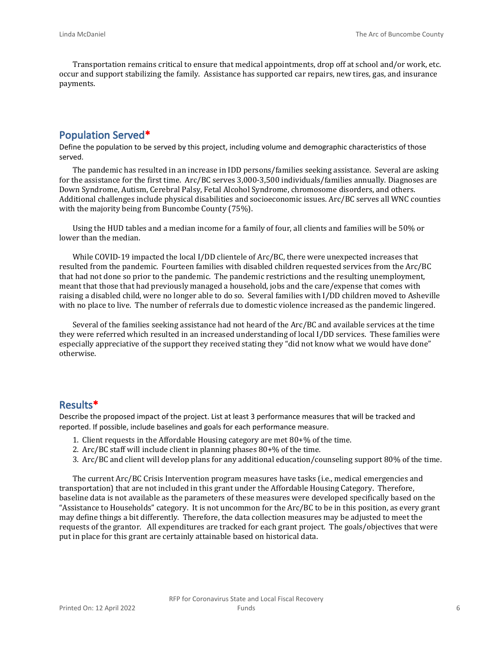Transportation remains critical to ensure that medical appointments, drop off at school and/or work, etc. occur and support stabilizing the family. Assistance has supported car repairs, new tires, gas, and insurance payments.

## **Population Served\***

Define the population to be served by this project, including volume and demographic characteristics of those served.

The pandemic has resulted in an increase in IDD persons/families seeking assistance. Several are asking for the assistance for the first time. Arc/BC serves 3,000-3,500 individuals/families annually. Diagnoses are Down Syndrome, Autism, Cerebral Palsy, Fetal Alcohol Syndrome, chromosome disorders, and others. Additional challenges include physical disabilities and socioeconomic issues. Arc/BC serves all WNC counties with the majority being from Buncombe County (75%).

Using the HUD tables and a median income for a family of four, all clients and families will be 50% or lower than the median.

While COVID-19 impacted the local I/DD clientele of Arc/BC, there were unexpected increases that resulted from the pandemic. Fourteen families with disabled children requested services from the Arc/BC that had not done so prior to the pandemic. The pandemic restrictions and the resulting unemployment, meant that those that had previously managed a household, jobs and the care/expense that comes with raising a disabled child, were no longer able to do so. Several families with I/DD children moved to Asheville with no place to live. The number of referrals due to domestic violence increased as the pandemic lingered.

Several of the families seeking assistance had not heard of the Arc/BC and available services at the time they were referred which resulted in an increased understanding of local I/DD services. These families were especially appreciative of the support they received stating they "did not know what we would have done" otherwise.

#### **Results\***

Describe the proposed impact of the project. List at least 3 performance measures that will be tracked and reported. If possible, include baselines and goals for each performance measure.

- 1. Client requests in the Affordable Housing category are met 80+% of the time.
- 2. Arc/BC staff will include client in planning phases 80+% of the time.
- 3. Arc/BC and client will develop plans for any additional education/counseling support 80% of the time.

The current Arc/BC Crisis Intervention program measures have tasks (i.e., medical emergencies and transportation) that are not included in this grant under the Affordable Housing Category. Therefore, baseline data is not available as the parameters of these measures were developed specifically based on the "Assistance to Households" category. It is not uncommon for the Arc/BC to be in this position, as every grant may define things a bit differently. Therefore, the data collection measures may be adjusted to meet the requests of the grantor. All expenditures are tracked for each grant project. The goals/objectives that were put in place for this grant are certainly attainable based on historical data.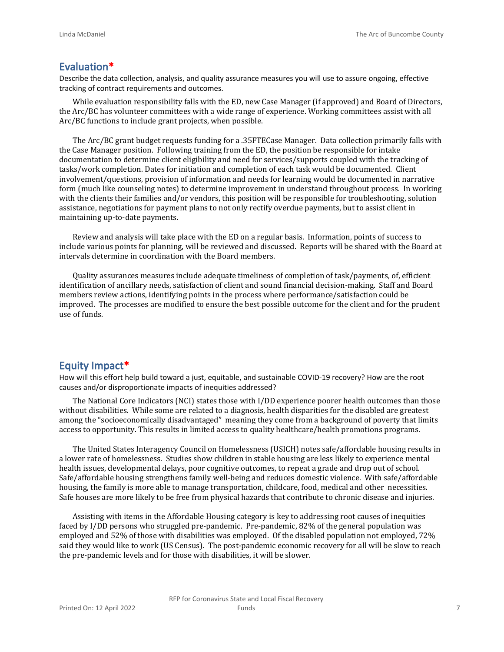### **Evaluation\***

Describe the data collection, analysis, and quality assurance measures you will use to assure ongoing, effective tracking of contract requirements and outcomes.

While evaluation responsibility falls with the ED, new Case Manager (if approved) and Board of Directors, the Arc/BC has volunteer committees with a wide range of experience. Working committees assist with all Arc/BC functions to include grant projects, when possible.

The Arc/BC grant budget requests funding for a .35FTECase Manager. Data collection primarily falls with the Case Manager position. Following training from the ED, the position be responsible for intake documentation to determine client eligibility and need for services/supports coupled with the tracking of tasks/work completion. Dates for initiation and completion of each task would be documented. Client involvement/questions, provision of information and needs for learning would be documented in narrative form (much like counseling notes) to determine improvement in understand throughout process. In working with the clients their families and/or vendors, this position will be responsible for troubleshooting, solution assistance, negotiations for payment plans to not only rectify overdue payments, but to assist client in maintaining up-to-date payments.

Review and analysis will take place with the ED on a regular basis. Information, points of success to include various points for planning, will be reviewed and discussed. Reports will be shared with the Board at intervals determine in coordination with the Board members.

Quality assurances measures include adequate timeliness of completion of task/payments, of, efficient identification of ancillary needs, satisfaction of client and sound financial decision-making. Staff and Board members review actions, identifying points in the process where performance/satisfaction could be improved. The processes are modified to ensure the best possible outcome for the client and for the prudent use of funds.

#### **Equity Impact\***

How will this effort help build toward a just, equitable, and sustainable COVID-19 recovery? How are the root causes and/or disproportionate impacts of inequities addressed?

The National Core Indicators (NCI) states those with I/DD experience poorer health outcomes than those without disabilities. While some are related to a diagnosis, health disparities for the disabled are greatest among the "socioeconomically disadvantaged" meaning they come from a background of poverty that limits access to opportunity. This results in limited access to quality healthcare/health promotions programs.

The United States Interagency Council on Homelessness (USICH) notes safe/affordable housing results in a lower rate of homelessness. Studies show children in stable housing are less likely to experience mental health issues, developmental delays, poor cognitive outcomes, to repeat a grade and drop out of school. Safe/affordable housing strengthens family well-being and reduces domestic violence. With safe/affordable housing, the family is more able to manage transportation, childcare, food, medical and other necessities. Safe houses are more likely to be free from physical hazards that contribute to chronic disease and injuries.

Assisting with items in the Affordable Housing category is key to addressing root causes of inequities faced by I/DD persons who struggled pre-pandemic. Pre-pandemic, 82% of the general population was employed and 52% of those with disabilities was employed. Of the disabled population not employed, 72% said they would like to work (US Census). The post-pandemic economic recovery for all will be slow to reach the pre-pandemic levels and for those with disabilities, it will be slower.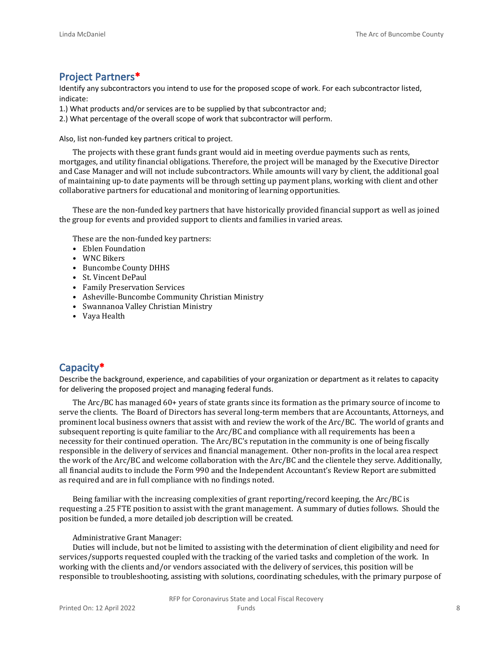## **Project Partners\***

Identify any subcontractors you intend to use for the proposed scope of work. For each subcontractor listed, indicate:

- 1.) What products and/or services are to be supplied by that subcontractor and;
- 2.) What percentage of the overall scope of work that subcontractor will perform.

Also, list non-funded key partners critical to project.

The projects with these grant funds grant would aid in meeting overdue payments such as rents, mortgages, and utility financial obligations. Therefore, the project will be managed by the Executive Director and Case Manager and will not include subcontractors. While amounts will vary by client, the additional goal of maintaining up-to date payments will be through setting up payment plans, working with client and other collaborative partners for educational and monitoring of learning opportunities.

These are the non-funded key partners that have historically provided financial support as well as joined the group for events and provided support to clients and families in varied areas.

These are the non-funded key partners:

- Eblen Foundation
- WNC Bikers
- Buncombe County DHHS
- St. Vincent DePaul
- Family Preservation Services
- Asheville-Buncombe Community Christian Ministry
- Swannanoa Valley Christian Ministry
- Vaya Health

## **Capacity\***

Describe the background, experience, and capabilities of your organization or department as it relates to capacity for delivering the proposed project and managing federal funds.

The Arc/BC has managed 60+ years of state grants since its formation as the primary source of income to serve the clients. The Board of Directors has several long-term members that are Accountants, Attorneys, and prominent local business owners that assist with and review the work of the Arc/BC. The world of grants and subsequent reporting is quite familiar to the Arc/BC and compliance with all requirements has been a necessity for their continued operation. The Arc/BC's reputation in the community is one of being fiscally responsible in the delivery of services and financial management. Other non-profits in the local area respect the work of the Arc/BC and welcome collaboration with the Arc/BC and the clientele they serve. Additionally, all financial audits to include the Form 990 and the Independent Accountant's Review Report are submitted as required and are in full compliance with no findings noted.

Being familiar with the increasing complexities of grant reporting/record keeping, the Arc/BC is requesting a .25 FTE position to assist with the grant management. A summary of duties follows. Should the position be funded, a more detailed job description will be created.

#### Administrative Grant Manager:

Duties will include, but not be limited to assisting with the determination of client eligibility and need for services/supports requested coupled with the tracking of the varied tasks and completion of the work. In working with the clients and/or vendors associated with the delivery of services, this position will be responsible to troubleshooting, assisting with solutions, coordinating schedules, with the primary purpose of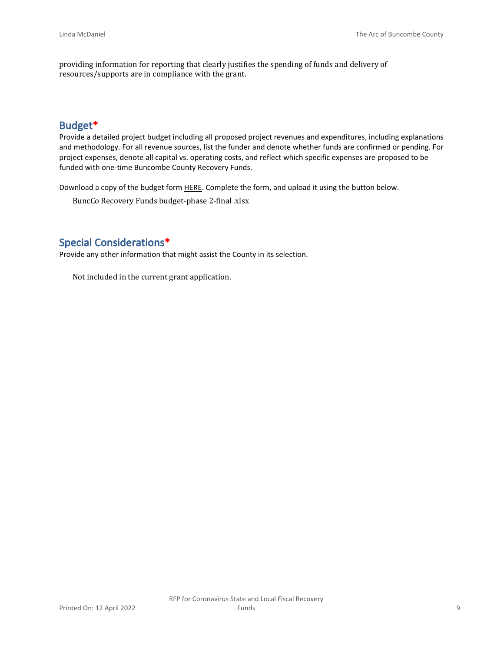providing information for reporting that clearly justifies the spending of funds and delivery of resources/supports are in compliance with the grant.

## **Budget\***

Provide a detailed project budget including all proposed project revenues and expenditures, including explanations and methodology. For all revenue sources, list the funder and denote whether funds are confirmed or pending. For project expenses, denote all capital vs. operating costs, and reflect which specific expenses are proposed to be funded with one-time Buncombe County Recovery Funds.

Download a copy of the budget form [HERE](https://buncombecounty.org/common/community-investment/grants/early-childhood-education/Recovery-Funds-budget-template.xlsx). Complete the form, and upload it using the button below.

BuncCo Recovery Funds budget-phase 2-final .xlsx

## **Special Considerations\***

Provide any other information that might assist the County in its selection.

Not included in the current grant application.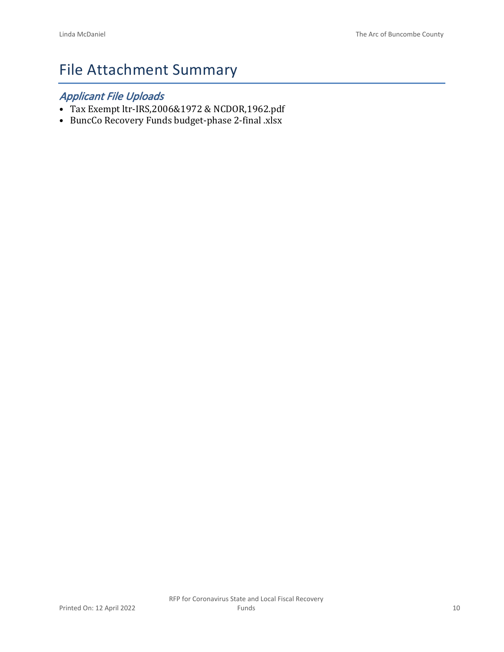# File Attachment Summary

## *Applicant File Uploads*

- Tax Exempt ltr-IRS,2006&1972 & NCDOR,1962.pdf
- BuncCo Recovery Funds budget-phase 2-final .xlsx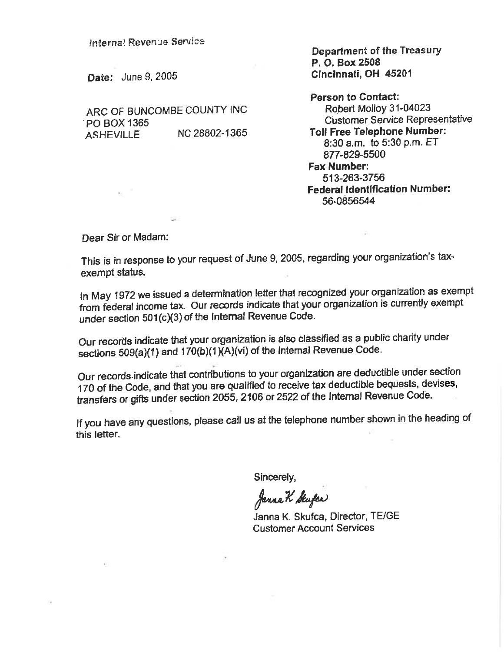**Internal Revenue Service** 

Date: June 9, 2005

ARC OF BUNCOMBE COUNTY INC PO BOX 1365 NC 28802-1365 **ASHEVILLE** 

**Department of the Treasury** P. O. Box 2508 Cincinnati, OH 45201

**Person to Contact:** Robert Molloy 31-04023 **Customer Service Representative Toll Free Telephone Number:** 8:30 a.m. to 5:30 p.m. ET 877-829-5500 **Fax Number:** 513-263-3756 **Federal Identification Number:** 56-0856544

Dear Sir or Madam:

 $\overline{1}$ 

This is in response to your request of June 9, 2005, regarding your organization's taxexempt status.

In May 1972 we issued a determination letter that recognized your organization as exempt from federal income tax. Our records indicate that your organization is currently exempt under section 501(c)(3) of the Internal Revenue Code.

Our records indicate that your organization is also classified as a public charity under sections 509(a)(1) and 170(b)(1)(A)(vi) of the Internal Revenue Code.

Our records indicate that contributions to your organization are deductible under section 170 of the Code, and that you are qualified to receive tax deductible bequests, devises, transfers or gifts under section 2055, 2106 or 2522 of the Internal Revenue Code.

If you have any questions, please call us at the telephone number shown in the heading of this letter.

Sincerely,

Janna K. Stufes

Janna K. Skufca, Director, TE/GE **Customer Account Services**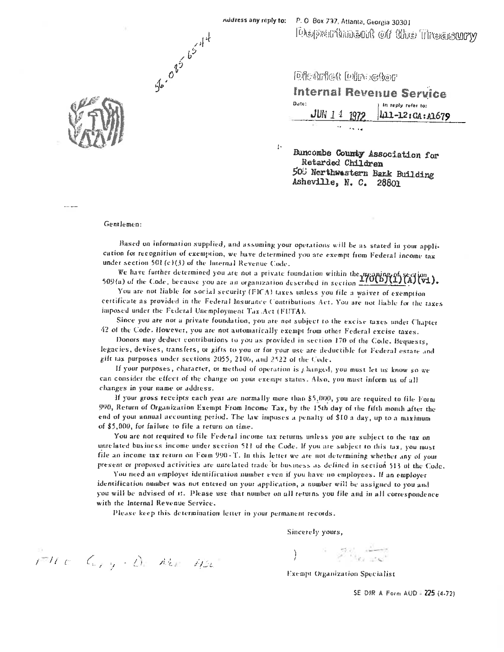**Chapter of the Theasury** 



lDickrief Lobrockor

|       | Internal Revenue Service            |
|-------|-------------------------------------|
| Date: |                                     |
|       | JUN 1 1 1972 $\mu$ 11-12: CA: A1679 |
|       |                                     |

Buncombe County Association for Retarded Children 500 Nerthwestern Bank Building Asheville, N. C. 28801

Gentlemen:

56-085 65-4-4

Based on information supplied, and assuming your operations will be as stated in your application for recognition of exemption, we have determined you are exempt from Federal income tax under section 501(c)(3) of the Internal Revenue Code.

 $\mathbf{b}$ 

We have further determined you are not a private foundation within the meaning of section 509(a) of the Code, because you are an organization described in section  $\frac{170(b)(1)(n)}{2}$ 

You are not liable for social security (FICA) taxes unless you file a waiver of exemption cettificate as provided in the Federal Insurance Contributions Act. You are not liable for the taxes imposed under the Federal Unemployment Tax Act (FUTA).

Since you are not a private foundation, you are not subject to the excise taxes under Chapter 42 of the Code. However, you are not automatically exempt from other Federal excise taxes.

Donors may deduct contributions to you as provided in section 170 of the Code. Bequests, legacies, devises, transfers, or gifts to you or for your use are deductible for Federal estate and gift tax purposes under sections 2055, 2106, and 2522 of the Code.

If your purposes, character, or method of operation is  $\mu$  hanged, you must let us know so we can consider the effect of the change on your exempt status. Also, you must inform us of all changes in your name or address.

If your gross receipts each year are normally more than \$5,000, you are required to file Form 990, Return of Organization Exempt From Income Tax, by the 15th day of the fifth month after the end of your annual accounting period. The law imposes a penalty of \$10 a day, up to a maximum of \$5,000, for failure to file a return on time.

You are not required to file Federal income tax returns unless you are subject to the tax on unrelated business income under section 511 of the Code. If you are subject to this tax, you must file an income tax return on Form 990-T. In this letter we are not determining whether any of your present or proposed activities are unrelated trade or business as defined in section 513 of the Code.

You need an employer identification number even if you have no employees. If an employer identification number was not entered on your application, a number will be assigned to you and you will be advised of it. Please use that number on all returns you file and in all correspondence with the Internal Revenue Service.

Please keep this determination letter in your permanent records.

Sincerely yours,

 $i^{2H}c-C_{\text{cyl}}\cdot D_{\text{c}}$  Above 1/2.

Exempt Organization Specialist

میکن بروی در

SE DIR A Form AUD - 225 (4-72)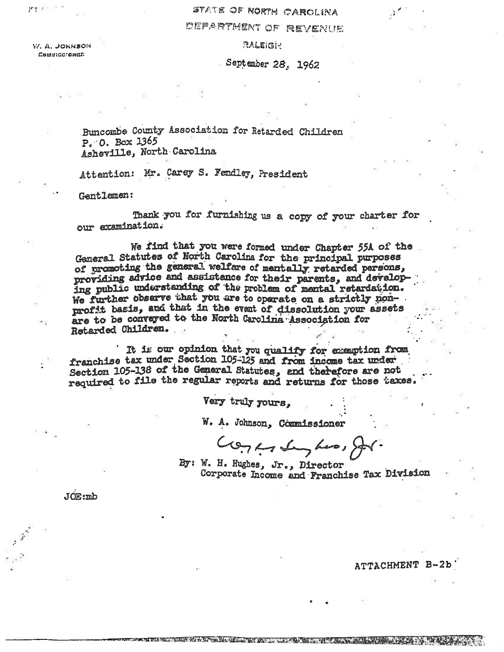## STATE OF NORTH CAROLINA

## DEPARTMENT OF REVENUE

**PALEIGHT** 

W. A. JONNSON COMMISSIONER

September 28, 1962

Buncombe County Association for Retarded Children  $P. 0.$  Box 1365 Asheville, North Carolina

Attention: Mr. Carey S. Fendley, President

Gentlemen:

Thank you for furnishing us a copy of your charter for our examination.

We find that you were formed under Chapter 55A of the General Statutes of North Carolina for the principal purposes of promoting the general welfare of mentally retarded persons, providing advice and assistance for their parents, and developing public understanding of the problem of mental retardation. We further observe that you are to operate on a strictly nonprofit basis, and that in the event of dissolution your assets are to be conveyed to the North Carolina Association for Retarded Children.

It is our opinion that you qualify for exemption from franchise tax under Section 105-125 and from income tax under Section 105-138 of the General Statutes, and therefore are not required to file the regular reports and returns for those taxes.

Very truly yours,

W. A. Johnson, Commissioner

Goranday has, for

By: W. H. Hughes, Jr., Director Corporate Income and Franchise Tax Division

THE STATE OF A 2- THREE STATES IN THE CASE OF THE COMPANY OF THE CASE OF THE CASE OF THE CASE OF THE CASE OF T

 $JOE:mb$ 

#### ATTACHMENT B-